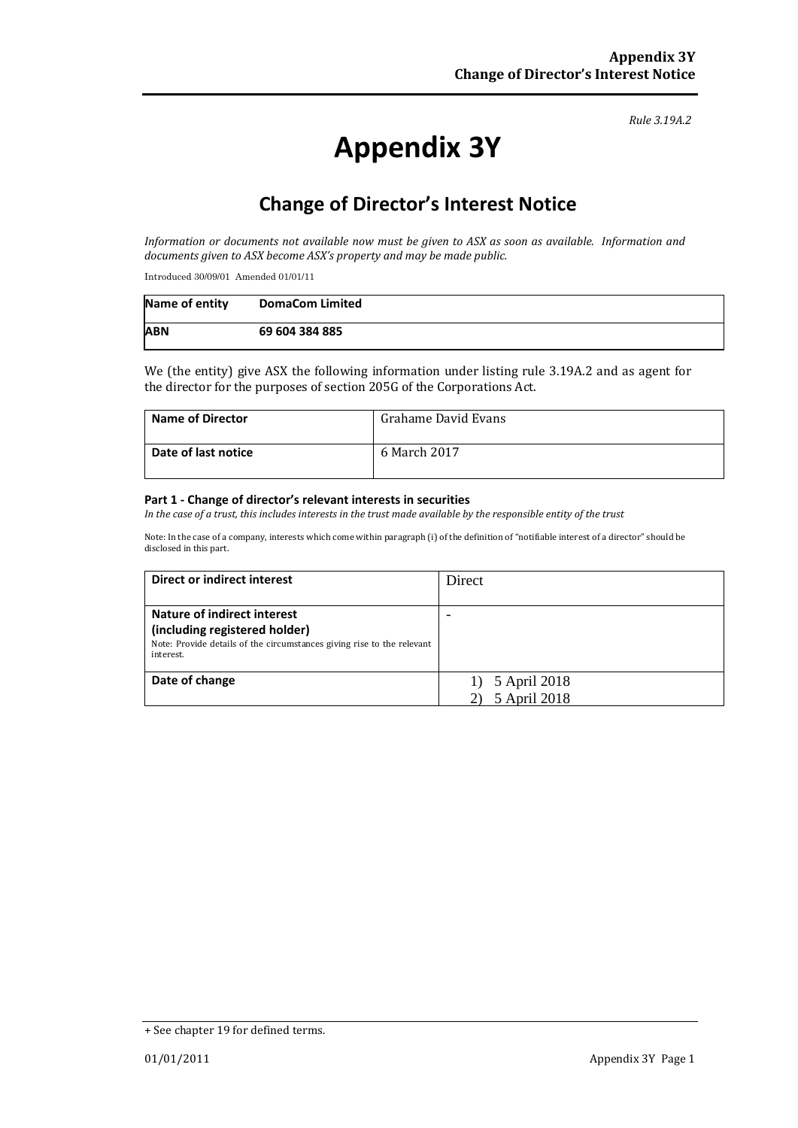#### *Rule 3.19A.2*

# **Appendix 3Y**

# **Change of Director's Interest Notice**

*Information or documents not available now must be given to ASX as soon as available. Information and documents given to ASX become ASX's property and may be made public.*

Introduced 30/09/01 Amended 01/01/11

| Name of entity | <b>DomaCom Limited</b> |
|----------------|------------------------|
| <b>ABN</b>     | 69 604 384 885         |

We (the entity) give ASX the following information under listing rule 3.19A.2 and as agent for the director for the purposes of section 205G of the Corporations Act.

| <b>Name of Director</b> | Grahame David Evans |
|-------------------------|---------------------|
| Date of last notice     | 6 March 2017        |

#### **Part 1 - Change of director's relevant interests in securities**

*In the case of a trust, this includes interests in the trust made available by the responsible entity of the trust*

Note: In the case of a company, interests which come within paragraph (i) of the definition of "notifiable interest of a director" should be disclosed in this part.

| Direct or indirect interest                                                                                                                                | Direct                       |
|------------------------------------------------------------------------------------------------------------------------------------------------------------|------------------------------|
| <b>Nature of indirect interest</b><br>(including registered holder)<br>Note: Provide details of the circumstances giving rise to the relevant<br>interest. |                              |
| Date of change                                                                                                                                             | 5 April 2018<br>5 April 2018 |

<sup>+</sup> See chapter 19 for defined terms.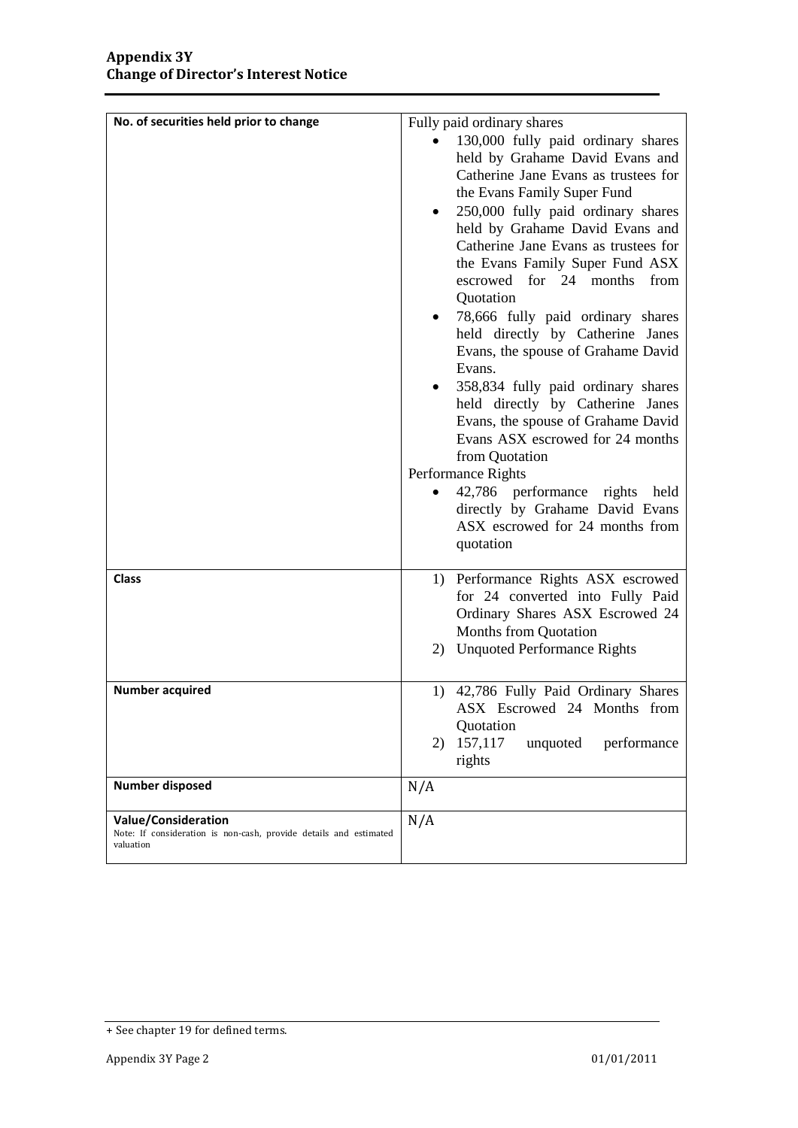| No. of securities held prior to change                                                                       | Fully paid ordinary shares<br>130,000 fully paid ordinary shares<br>held by Grahame David Evans and<br>Catherine Jane Evans as trustees for<br>the Evans Family Super Fund<br>250,000 fully paid ordinary shares<br>٠<br>held by Grahame David Evans and<br>Catherine Jane Evans as trustees for<br>the Evans Family Super Fund ASX<br>escrowed for 24 months from<br>Quotation<br>78,666 fully paid ordinary shares<br>held directly by Catherine Janes<br>Evans, the spouse of Grahame David<br>Evans.<br>358,834 fully paid ordinary shares<br>held directly by Catherine Janes<br>Evans, the spouse of Grahame David<br>Evans ASX escrowed for 24 months<br>from Quotation<br>Performance Rights<br>42,786 performance rights held<br>directly by Grahame David Evans<br>ASX escrowed for 24 months from<br>quotation |
|--------------------------------------------------------------------------------------------------------------|---------------------------------------------------------------------------------------------------------------------------------------------------------------------------------------------------------------------------------------------------------------------------------------------------------------------------------------------------------------------------------------------------------------------------------------------------------------------------------------------------------------------------------------------------------------------------------------------------------------------------------------------------------------------------------------------------------------------------------------------------------------------------------------------------------------------------|
| <b>Class</b>                                                                                                 | 1) Performance Rights ASX escrowed<br>for 24 converted into Fully Paid<br>Ordinary Shares ASX Escrowed 24<br>Months from Quotation<br>2) Unquoted Performance Rights                                                                                                                                                                                                                                                                                                                                                                                                                                                                                                                                                                                                                                                      |
| <b>Number acquired</b>                                                                                       | 1) 42,786 Fully Paid Ordinary Shares<br>ASX Escrowed 24 Months from<br>Quotation<br>157,117<br>performance<br>2)<br>unquoted<br>rights                                                                                                                                                                                                                                                                                                                                                                                                                                                                                                                                                                                                                                                                                    |
| Number disposed                                                                                              | N/A                                                                                                                                                                                                                                                                                                                                                                                                                                                                                                                                                                                                                                                                                                                                                                                                                       |
| <b>Value/Consideration</b><br>Note: If consideration is non-cash, provide details and estimated<br>valuation | N/A                                                                                                                                                                                                                                                                                                                                                                                                                                                                                                                                                                                                                                                                                                                                                                                                                       |

<sup>+</sup> See chapter 19 for defined terms.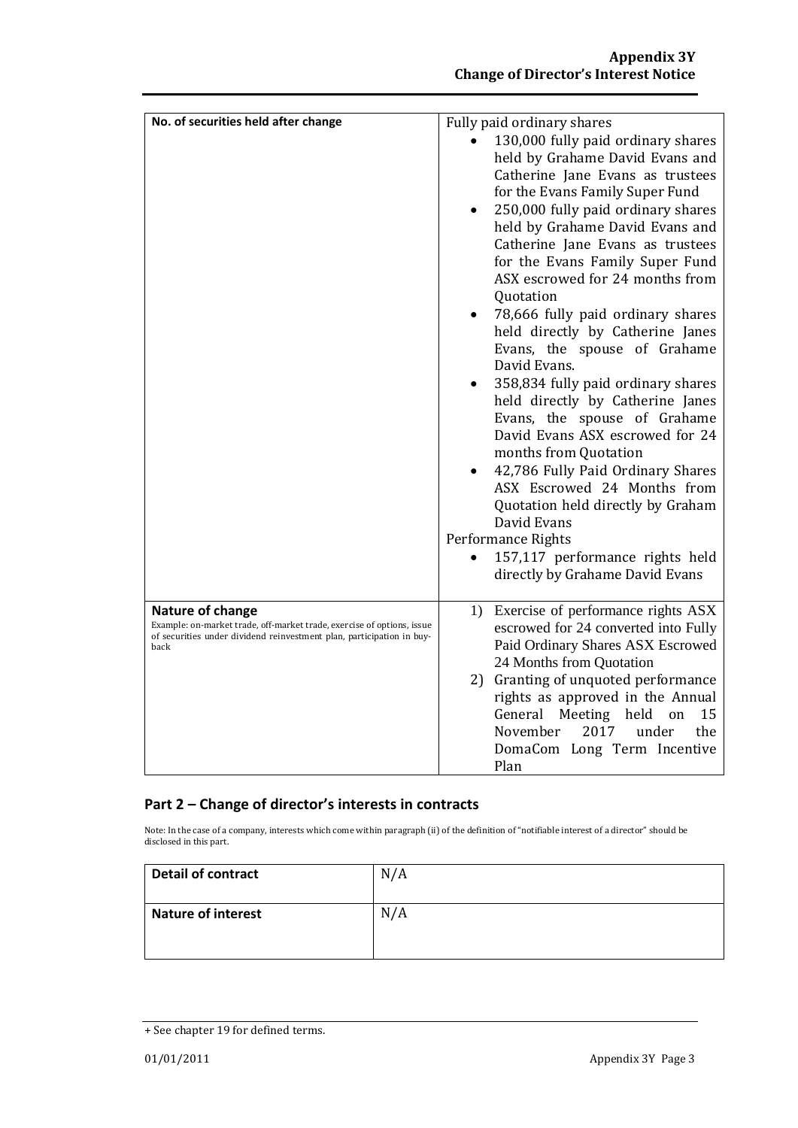| No. of securities held after change                                                                                                                                         | Fully paid ordinary shares<br>130,000 fully paid ordinary shares                                                                                                                                                                                                                                                                                                                                                                                                                                                                                                                                                                                                                                                            |
|-----------------------------------------------------------------------------------------------------------------------------------------------------------------------------|-----------------------------------------------------------------------------------------------------------------------------------------------------------------------------------------------------------------------------------------------------------------------------------------------------------------------------------------------------------------------------------------------------------------------------------------------------------------------------------------------------------------------------------------------------------------------------------------------------------------------------------------------------------------------------------------------------------------------------|
|                                                                                                                                                                             | held by Grahame David Evans and<br>Catherine Jane Evans as trustees<br>for the Evans Family Super Fund<br>250,000 fully paid ordinary shares<br>$\bullet$<br>held by Grahame David Evans and<br>Catherine Jane Evans as trustees<br>for the Evans Family Super Fund<br>ASX escrowed for 24 months from<br>Quotation<br>78,666 fully paid ordinary shares<br>held directly by Catherine Janes<br>Evans, the spouse of Grahame<br>David Evans.<br>358,834 fully paid ordinary shares<br>held directly by Catherine Janes<br>Evans, the spouse of Grahame<br>David Evans ASX escrowed for 24<br>months from Quotation<br>42,786 Fully Paid Ordinary Shares<br>ASX Escrowed 24 Months from<br>Quotation held directly by Graham |
|                                                                                                                                                                             | David Evans                                                                                                                                                                                                                                                                                                                                                                                                                                                                                                                                                                                                                                                                                                                 |
|                                                                                                                                                                             | Performance Rights<br>157,117 performance rights held<br>directly by Grahame David Evans                                                                                                                                                                                                                                                                                                                                                                                                                                                                                                                                                                                                                                    |
| Nature of change<br>Example: on-market trade, off-market trade, exercise of options, issue<br>of securities under dividend reinvestment plan, participation in buy-<br>back | 1) Exercise of performance rights ASX<br>escrowed for 24 converted into Fully<br>Paid Ordinary Shares ASX Escrowed<br>24 Months from Quotation<br>2) Granting of unquoted performance<br>rights as approved in the Annual<br>General<br>Meeting<br>held<br>on<br>15<br>November<br>2017<br>under<br>the<br>DomaCom Long Term Incentive<br>Plan                                                                                                                                                                                                                                                                                                                                                                              |

### **Part 2 – Change of director's interests in contracts**

Note: In the case of a company, interests which come within paragraph (ii) of the definition of "notifiable interest of a director" should be disclosed in this part.

| <b>Detail of contract</b> | N/A |
|---------------------------|-----|
| <b>Nature of interest</b> | N/A |

<sup>+</sup> See chapter 19 for defined terms.